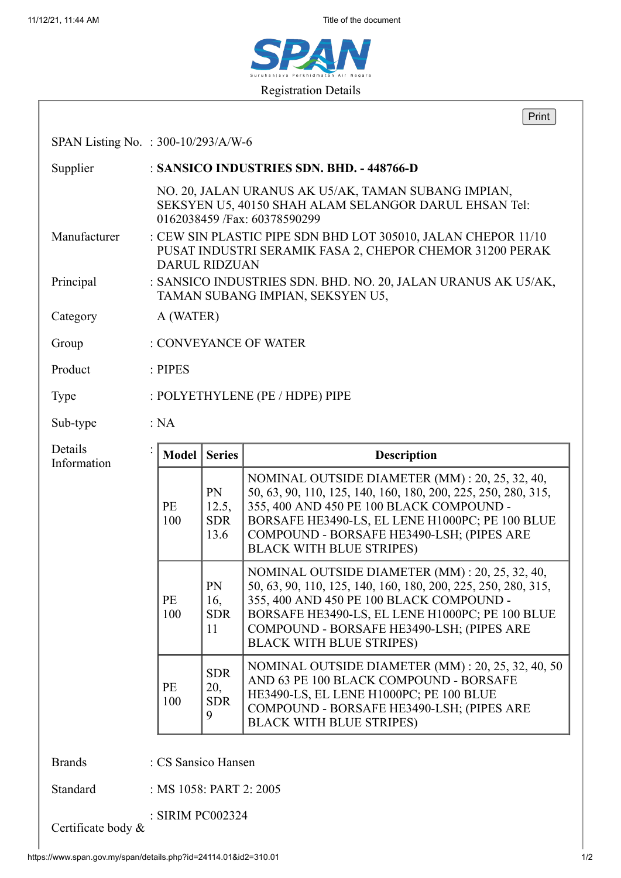

|                                     |                                                                                                   |                                      | Print                                                                                                                                                                                                                                                                                           |
|-------------------------------------|---------------------------------------------------------------------------------------------------|--------------------------------------|-------------------------------------------------------------------------------------------------------------------------------------------------------------------------------------------------------------------------------------------------------------------------------------------------|
| SPAN Listing No. : 300-10/293/A/W-6 |                                                                                                   |                                      |                                                                                                                                                                                                                                                                                                 |
| Supplier                            | : SANSICO INDUSTRIES SDN. BHD. - 448766-D                                                         |                                      |                                                                                                                                                                                                                                                                                                 |
| Manufacturer                        |                                                                                                   |                                      | NO. 20, JALAN URANUS AK U5/AK, TAMAN SUBANG IMPIAN,<br>SEKSYEN U5, 40150 SHAH ALAM SELANGOR DARUL EHSAN Tel:<br>0162038459 / Fax: 60378590299<br>: CEW SIN PLASTIC PIPE SDN BHD LOT 305010, JALAN CHEPOR 11/10                                                                                  |
|                                     | PUSAT INDUSTRI SERAMIK FASA 2, CHEPOR CHEMOR 31200 PERAK<br><b>DARUL RIDZUAN</b>                  |                                      |                                                                                                                                                                                                                                                                                                 |
| Principal                           | : SANSICO INDUSTRIES SDN. BHD. NO. 20, JALAN URANUS AK U5/AK,<br>TAMAN SUBANG IMPIAN, SEKSYEN U5, |                                      |                                                                                                                                                                                                                                                                                                 |
| Category                            | A (WATER)                                                                                         |                                      |                                                                                                                                                                                                                                                                                                 |
| Group                               | : CONVEYANCE OF WATER                                                                             |                                      |                                                                                                                                                                                                                                                                                                 |
| Product                             | : PIPES                                                                                           |                                      |                                                                                                                                                                                                                                                                                                 |
| Type                                | : POLYETHYLENE (PE / HDPE) PIPE                                                                   |                                      |                                                                                                                                                                                                                                                                                                 |
| Sub-type                            | : NA                                                                                              |                                      |                                                                                                                                                                                                                                                                                                 |
| Details<br>Information              | Model                                                                                             | <b>Series</b>                        | <b>Description</b>                                                                                                                                                                                                                                                                              |
|                                     | <b>PE</b><br>100                                                                                  | PN<br>12.5,<br><b>SDR</b><br>13.6    | NOMINAL OUTSIDE DIAMETER (MM): 20, 25, 32, 40,<br>50, 63, 90, 110, 125, 140, 160, 180, 200, 225, 250, 280, 315,<br>355, 400 AND 450 PE 100 BLACK COMPOUND -<br>BORSAFE HE3490-LS, EL LENE H1000PC; PE 100 BLUE<br>COMPOUND - BORSAFE HE3490-LSH; (PIPES ARE<br><b>BLACK WITH BLUE STRIPES)</b>  |
|                                     | <b>PE</b><br>100                                                                                  | PN<br>16,<br><b>SDR</b><br>11        | NOMINAL OUTSIDE DIAMETER (MM) : 20, 25, 32, 40,<br>50, 63, 90, 110, 125, 140, 160, 180, 200, 225, 250, 280, 315,<br>355, 400 AND 450 PE 100 BLACK COMPOUND -<br>BORSAFE HE3490-LS, EL LENE H1000PC; PE 100 BLUE<br>COMPOUND - BORSAFE HE3490-LSH; (PIPES ARE<br><b>BLACK WITH BLUE STRIPES)</b> |
|                                     | PE<br>100                                                                                         | <b>SDR</b><br>20,<br><b>SDR</b><br>9 | NOMINAL OUTSIDE DIAMETER (MM) : 20, 25, 32, 40, 50<br>AND 63 PE 100 BLACK COMPOUND - BORSAFE<br>HE3490-LS, EL LENE H1000PC; PE 100 BLUE<br>COMPOUND - BORSAFE HE3490-LSH; (PIPES ARE<br><b>BLACK WITH BLUE STRIPES)</b>                                                                         |
| <b>Brands</b>                       | : CS Sansico Hansen                                                                               |                                      |                                                                                                                                                                                                                                                                                                 |
| Standard                            | : MS 1058: PART 2: 2005                                                                           |                                      |                                                                                                                                                                                                                                                                                                 |
|                                     |                                                                                                   |                                      |                                                                                                                                                                                                                                                                                                 |

: SIRIM PC002324

Certificate body &